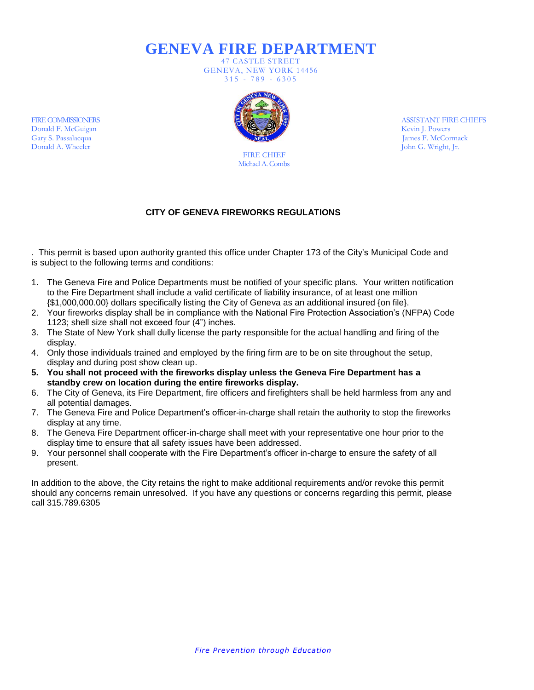**GENEVA FIRE DEPARTMENT**

47 CASTLE STREET GENEVA, NEW YORK 14456  $315 - 789 - 6305$ 



FIRE CHIEF Michael A. Combs ASSISTANT FIRE CHIEFS Kevin J. Powers James F. McCormack John G. Wright, Jr.

## **CITY OF GENEVA FIREWORKS REGULATIONS**

. This permit is based upon authority granted this office under Chapter 173 of the City's Municipal Code and is subject to the following terms and conditions:

- 1. The Geneva Fire and Police Departments must be notified of your specific plans. Your written notification to the Fire Department shall include a valid certificate of liability insurance, of at least one million {\$1,000,000.00} dollars specifically listing the City of Geneva as an additional insured {on file}.
- 2. Your fireworks display shall be in compliance with the National Fire Protection Association's (NFPA) Code 1123; shell size shall not exceed four (4") inches.
- 3. The State of New York shall dully license the party responsible for the actual handling and firing of the display.
- 4. Only those individuals trained and employed by the firing firm are to be on site throughout the setup, display and during post show clean up.
- **5. You shall not proceed with the fireworks display unless the Geneva Fire Department has a standby crew on location during the entire fireworks display.**
- 6. The City of Geneva, its Fire Department, fire officers and firefighters shall be held harmless from any and all potential damages.
- 7. The Geneva Fire and Police Department's officer-in-charge shall retain the authority to stop the fireworks display at any time.
- 8. The Geneva Fire Department officer-in-charge shall meet with your representative one hour prior to the display time to ensure that all safety issues have been addressed.
- 9. Your personnel shall cooperate with the Fire Department's officer in-charge to ensure the safety of all present.

In addition to the above, the City retains the right to make additional requirements and/or revoke this permit should any concerns remain unresolved. If you have any questions or concerns regarding this permit, please call 315.789.6305

FIRE COMMISSIONERS Donald F. McGuigan Gary S. Passalacqua Donald A. Wheeler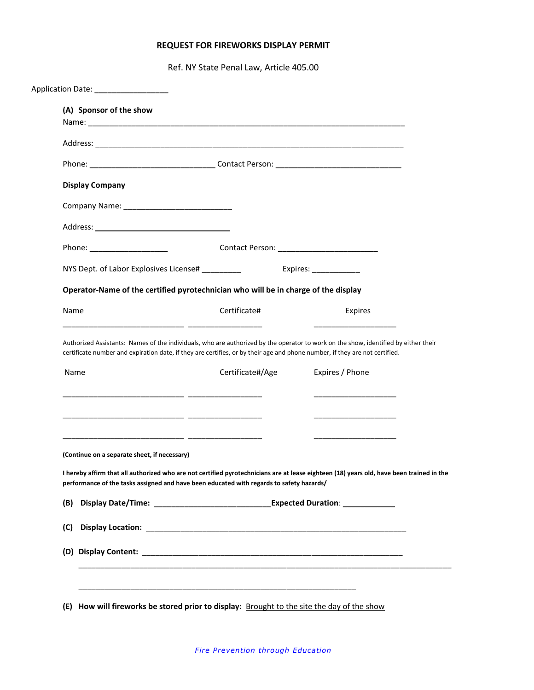## **REQUEST FOR FIREWORKS DISPLAY PERMIT**

Ref. NY State Penal Law, Article 405.00

| (A) Sponsor of the show                      |                                                                                                                             |                                                                                                                                          |
|----------------------------------------------|-----------------------------------------------------------------------------------------------------------------------------|------------------------------------------------------------------------------------------------------------------------------------------|
|                                              |                                                                                                                             |                                                                                                                                          |
|                                              |                                                                                                                             |                                                                                                                                          |
| <b>Display Company</b>                       |                                                                                                                             |                                                                                                                                          |
|                                              |                                                                                                                             |                                                                                                                                          |
|                                              |                                                                                                                             |                                                                                                                                          |
|                                              |                                                                                                                             |                                                                                                                                          |
|                                              |                                                                                                                             |                                                                                                                                          |
|                                              | Operator-Name of the certified pyrotechnician who will be in charge of the display                                          |                                                                                                                                          |
| Name                                         | Certificate#                                                                                                                | Expires                                                                                                                                  |
|                                              | certificate number and expiration date, if they are certifies, or by their age and phone number, if they are not certified. | Authorized Assistants: Names of the individuals, who are authorized by the operator to work on the show, identified by either their      |
| Name                                         | Certificate#/Age                                                                                                            | Expires / Phone                                                                                                                          |
|                                              |                                                                                                                             |                                                                                                                                          |
| (Continue on a separate sheet, if necessary) |                                                                                                                             |                                                                                                                                          |
|                                              | performance of the tasks assigned and have been educated with regards to safety hazards/                                    | I hereby affirm that all authorized who are not certified pyrotechnicians are at lease eighteen (18) years old, have been trained in the |
| (B)                                          |                                                                                                                             |                                                                                                                                          |
| (C)                                          |                                                                                                                             |                                                                                                                                          |